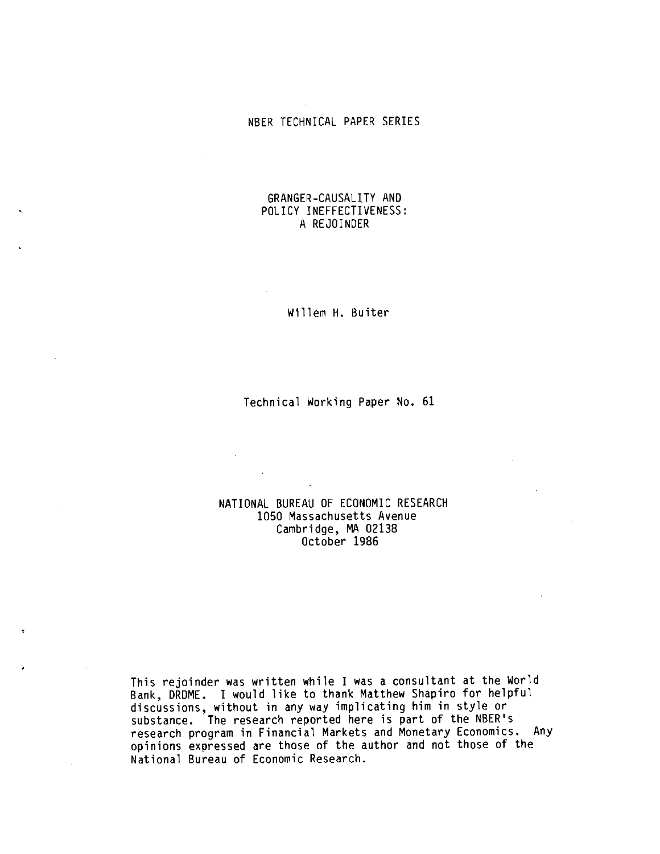# NBER TECHNICAL PAPER SERIES

# GRANGER-CAUSALITY AND POLICY INEFFECTIVENESS: A REJOINDER

Willem H. Buiter

## Technical Working Paper No. 61

## NATIONAL BUREAU OF ECONOMIC RESEARCH 1050 Massachusetts Avenue Cambridge, MA 02138 October 1986

 $\sim 100$ 

This rejoinder was written while I was a consultant at the World Bank, DRDME. I would like to thank Matthew Shapiro for helpful discussions, without in any way implicating him in style or substance. The research reported here is part of the NBER's research program in Financial Markets and Monetary Economics. Any opinions expressed are those of the author and not those of the National Bureau of Economic Research.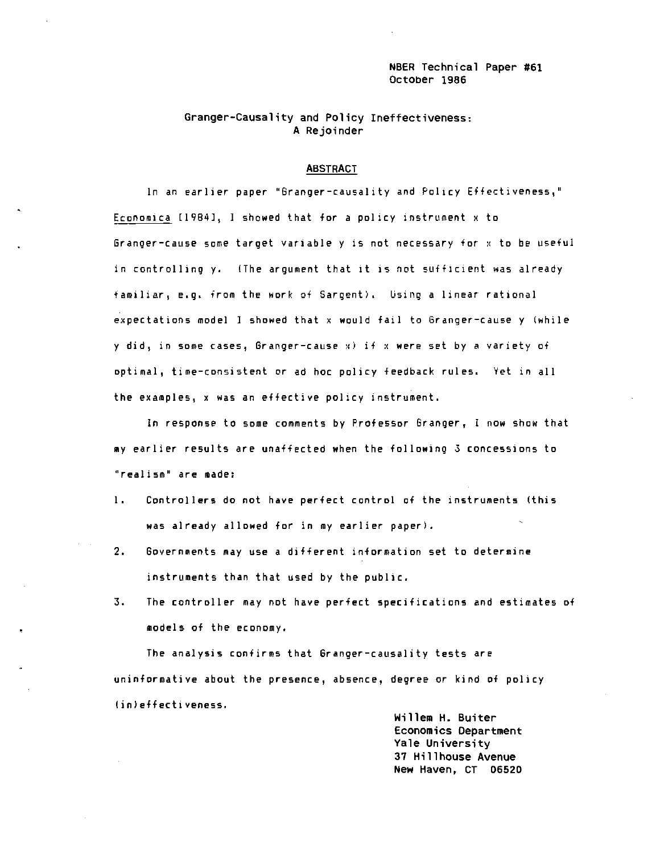NBER Technical Paper #61 October 1986

## Granger—Causality and Policy Ineffectiveness; A Rejoinder

#### ABSTRACT

In an earlier paper "Granger—causality and Policy Effectiveness," Economica [1984], 1 showed that for a policy instrument x to Granger—cause some target variable y is not necessary for x to be useful in controlling y. (The argument that it is not sufficient was already familiar, e.g. from the work of Sargent). Using a linear rational expectations model I showed that x would fail to Branger—cause y (while y did, in some cases, Granger-cause  $x)$  if  $x$  were set by a variety of optimal, time—consistent or ad hoc policy feedback rules. Yet in all the examples, x was an effective policy instrument.

In response to some comments by Professor Granger, I now show that my earlier results are unaffected when the following 3 concessions to "realism" are made:

- 1. Controllers do not have perfect control of the instruments (this was already allowed for in my earlier paper).
- 2. Governments may use a different information set to determine instruments than that used by the public.
- 3. The controller may not have perfect specifications and estimates of models of the economy.

The analysis confirms that 6ranger—causality tests are uninformative about the presence, absence, degree or kind of policy (in) effectiveness.

> Willem H. Buiter Economics Department Yale University 37 Hillhouse Avenue New Haven, CT 06520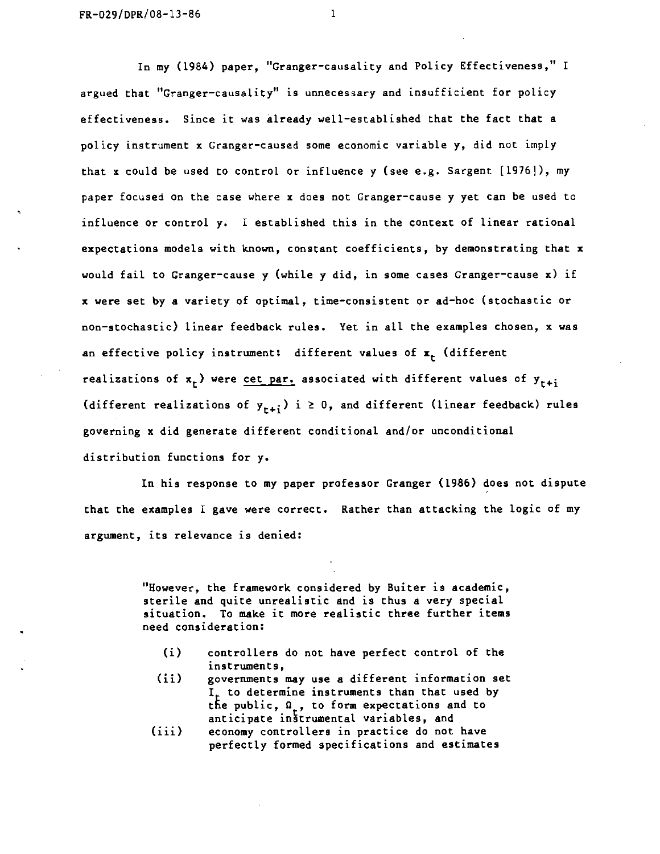In my (1984) paper, "Granger-causality and Policy Effectiveness," I argued that "Granger—causality" is unnecessary and insufficient for policy effectiveness. Since it was already weLl—established that the fact that a policy instrument x Granger-caused some economic variable y, did not imply that x could be used to control or influence y (see e.g. Sargent [1976]), my paper focused on the case where x does not Granger-cause y yet can be used to influence or control y. I established this in the context of linear rational expectations models with known, constant coefficients, by demonstrating that x would fail to Granger—cause y (while y did, in some cases Granger—cause x) if x were set by a variety of Optimal., time—consistent or ad—hoc (stochastic or non—stochastic) linear feedback rules. Yet in all the examples chosen, x was an effective policy instrument: different values of  $x_r$  (different realizations of  $x_r$ ) were cet par. associated with different values of  $y_{r+1}$ (different realizations of  $y_{r+i}$ ) i  $\geq 0$ , and different (linear feedback) rules governing x did generate different conditional and/or unconditional distribution functions for y.

In his response to my paper professor Granger (1986) does not dispute that the examples I gave were correct. Rather than attacking the logic of my argument, its relevance is denied:

> "However, the framework considered by Buiter is academic, sterile and quite unrealistic and is thus a very special. situation. To make it more realistic three further items need consideration:

- (i) controllers do not have perfect control of the instruments,
- (ii) governments may use a different information set  $I<sub>r</sub>$  to determine instruments than that used by the public,  $\Omega_{\alpha}$ , to form expectations and to anticipate instrumental variables, and
- (iii) economy controllers in practice do not have perfectly formed specifications and estimates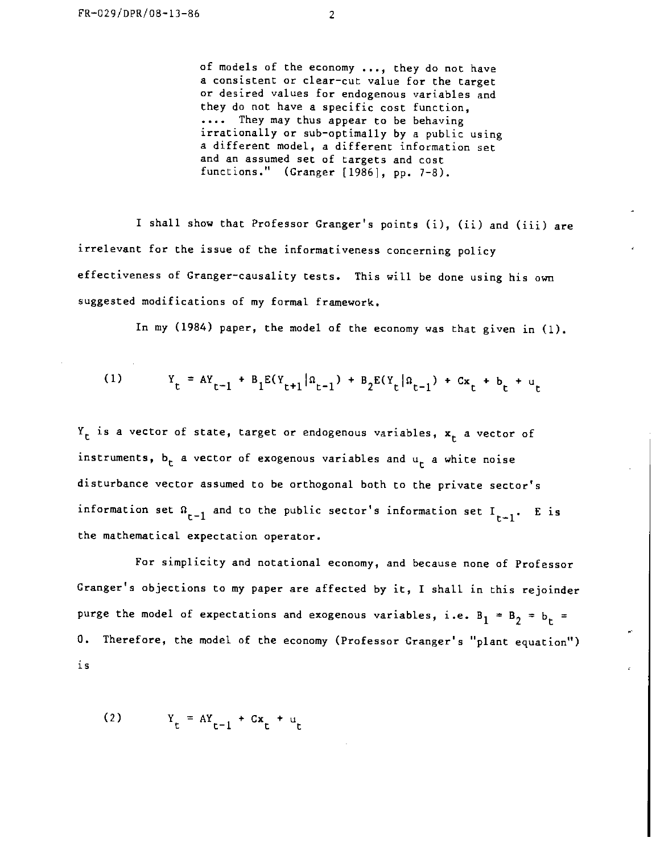of models of the economy ..., they do not have a consistent or cLear—cut value for the target or desired vaLues for endogenous variables and they do not have a specific cost function, .... They may thus appear to be behaving irrationally or sub-optimally by a public using a different model, a different information set and an assumed set of targets and cost functions."  $(Granger [1986], pp. 7-8)$ .

I shall show that Professor Granger's points (i), (ii) and (iii) are irrelevant for the issue of the informativeness concerning policy effectiveness of Granger-causality tests. This will be done using his own suggested modifications of my formal framework.

In my (1984) paper, the model of the economy was that given in (1).

(1) 
$$
Y_t = A Y_{t-1} + B_1 E(Y_{t+1} | \Omega_{t-1}) + B_2 E(Y_t | \Omega_{t-1}) + C x_t + b_t + u_t
$$

 $Y_t$  is a vector of state, target or endogenous variables,  $x_t$  a vector of instruments,  $b_t$  a vector of exogenous variables and  $u_t$  a white noise disturbance vector assumed to be orthogonal both to the private sector's information set  $\Omega_{r-1}$  and to the public sector's information set  $I_{r-1}$ . E is the mathematical expectation operator.

For simplicity and notational economy, and because none of Professor Granger's objections to my paper are affected by it, I shall in this rejoinder purge the model of expectations and exogenous variables, i.e.  $B_1 = B_2 = b_t$  = 0. Therefore, the model of the economy (Professor Granger's "plant equation") is

(2)  $Y_t = AY_{t-1} + Cx_t + u_t$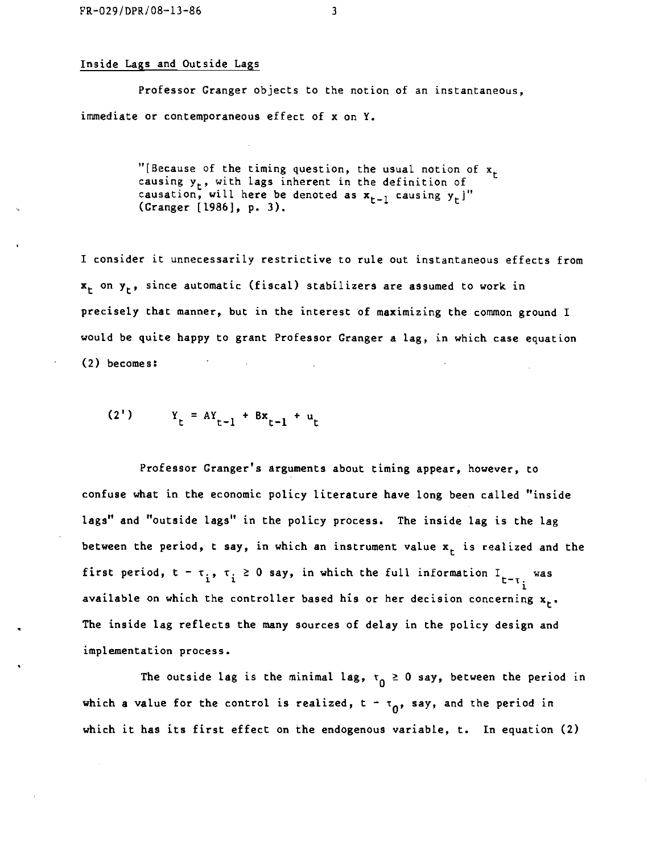### Inside Lags and Outside Lags

Professor Granger objects to the notion of an instantaneous, immediate or contemporaneous effect of x on Y.

> "[Because of the timing question, the usual notion of  $x_{\tau}$ causing y, with Lags inherent in the definition of causation, will here be denoted as  $x_{t-1}$  causing  $y_t$ ]" (Cranger [1986), p. 3).

I consider it unnecessarily restrictive to rule out instantaneous effects from  $x_t$  on  $y_t$ , since automatic (fiscal) stabilizers are assumed to work in precisely that manner, but in the interest of maximizing the common ground I would be quite happy to grant Professor Granger a lag, in which case equation  $(2)$  becomes:

$$
(2') \t Yt = AYt-1 + BXt-1 + ut
$$

Professor Granger's arguments about timing appear, however, to confuse what in the economic policy literature have long been called "inside lags" and "outside lags" in the policy process. The inside lag is the lag between the period, t say, in which an instrument value  $x<sub>r</sub>$  is realized and the first period,  $t - \tau_i$ ,  $\tau_i \ge 0$  say, in which the full information  $I_{t-\tau_i}$  was available on which the controller based his or her decision concerning  $x_r$ . The inside lag reflects the many sources of delay in the policy design and implementation process.

The outside lag is the minimal lag,  $\tau_0 \ge 0$  say, between the period in which a value for the control is realized,  $t = \tau_0$ , say, and the period in which it has its first effect on the endogenous variable, t. In equation (2)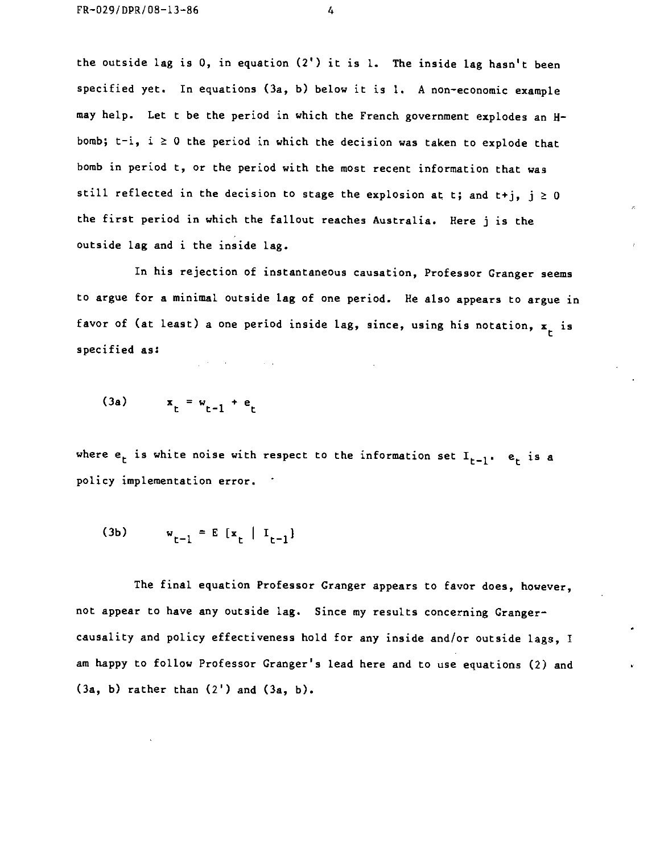the outside lag is 0, in equation (2') it is 1. The inside lag hasn't been specified yet. In equations (3a, b) below it is 1. A non-economic example may help. Let t be the period in which the French government explodes an Hbomb;  $t-i$ ,  $i \ge 0$  the period in which the decision was taken to explode that bomb in period t, or the period with the most recent information that was still reflected in the decision to stage the explosion at t; and t+j,  $j \ge 0$ the first period in which the fallout reaches Australia. Here j is the outside lag and i the inside lag.

In his rejection of instantaneous causation, Professor Granger seems to argue for a minimal outside lag of one period. He also appears to argue in favor of (at least) a one period inside lag, since, using his notation,  $x<sub>r</sub>$  is specified as:

$$
(3a) \qquad x_t = w_{t-1} + e_t
$$

 $\mathcal{L}^{\mathcal{L}}$  , where  $\mathcal{L}^{\mathcal{L}}$  is the contract of the  $\mathcal{L}^{\mathcal{L}}$ 

where  $e_t$  is white noise with respect to the information set  $I_{t-1}$ .  $e_t$  is a policy implementation error.

(3b) 
$$
w_{t-1} = E[x_t | I_{t-1}]
$$

The final equation Professor Cranger appears to favor does, however, not appear to have any outside lag. Since my results concerning Granger causality and policy effectiveness hold for any inside and/or outside lags, I am happy to follow Professor Granger's lead here and to use equations (2) and  $(3a, b)$  rather than  $(2')$  and  $(3a, b)$ .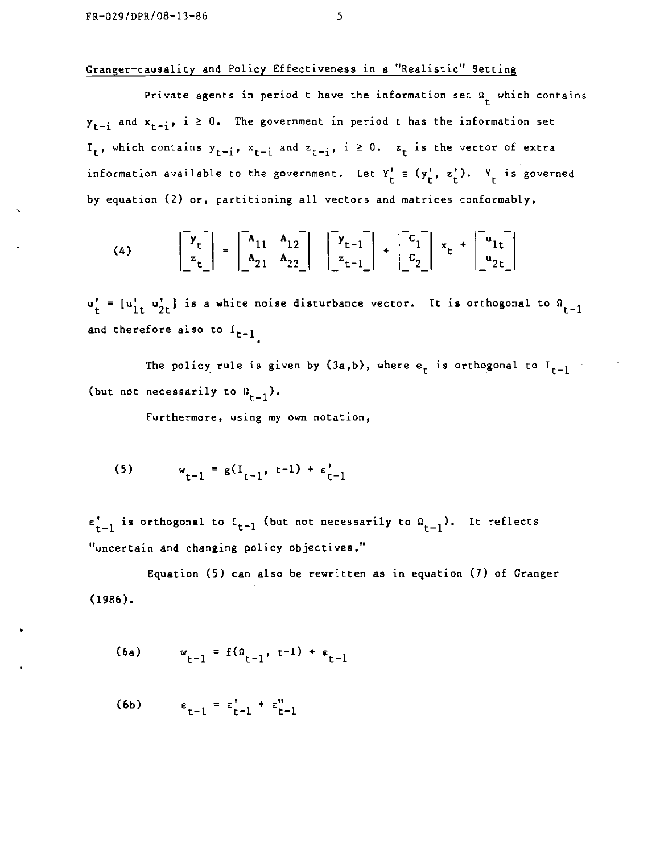# Granger—causaLity and Policy Effectiveness in a "Realistic" Setting

Private agents in period t have the information set  $\Omega_r$  which contains  $y_{r-i}$  and  $x_{r-i}$ , i  $\geq 0$ . The government in period t has the information set  $I_t$ , which contains  $y_{t-i}$ ,  $x_{t-i}$  and  $z_{t-i}$ ,  $i \ge 0$ .  $z_t$  is the vector of extra information available to the government. Let  $Y'_t \equiv (y'_t, z'_t)$ .  $Y_t$  is governed by equation (2) or, partitioning all vectors and matrices conformably,

(4) 
$$
\begin{bmatrix} v_t \\ z_t \end{bmatrix} = \begin{bmatrix} A_{11} & A_{12} \\ A_{21} & A_{22} \end{bmatrix} \begin{bmatrix} v_{t-1} \\ z_{t-1} \end{bmatrix} + \begin{bmatrix} c_1 \\ c_2 \end{bmatrix} x_t + \begin{bmatrix} u_{1t} \\ u_{2t} \end{bmatrix}
$$

=  $[u_{1t}^{\dagger} u_{2t}^{\dagger}]$  is a white noise disturbance vector. It is orthogonal to  $\Omega_{t-1}$ and therefore also to  $I_{t-1}$ 

The policy rule is given by  $(3a,b)$ , where  $e_t$  is orthogonal to  $I_{t-1}$ (but not necessarily to  $\Omega_{r-1}$ ).

Furthermore, using my own notation,

(5) 
$$
w_{t-1} = g(I_{t-1}, t-1) + \epsilon_{t-1}^{\prime}
$$

 $\epsilon_{t-1}^{\dagger}$  is orthogonal to  $I_{t-1}$  (but not necessarily to  $\Omega_{t-1}$ ). It reflects "uncertain and changing policy objectives."

Equation (5) can aLso be rewritten as in equation (7) of Cranger (1986).

$$
(6a) \t w_{t-1} = f(\Omega_{t-1}, t-1) + \varepsilon_{t-1}
$$

$$
(6b) \qquad \epsilon_{t-1} = \epsilon_{t-1}' + \epsilon_{t-1}''
$$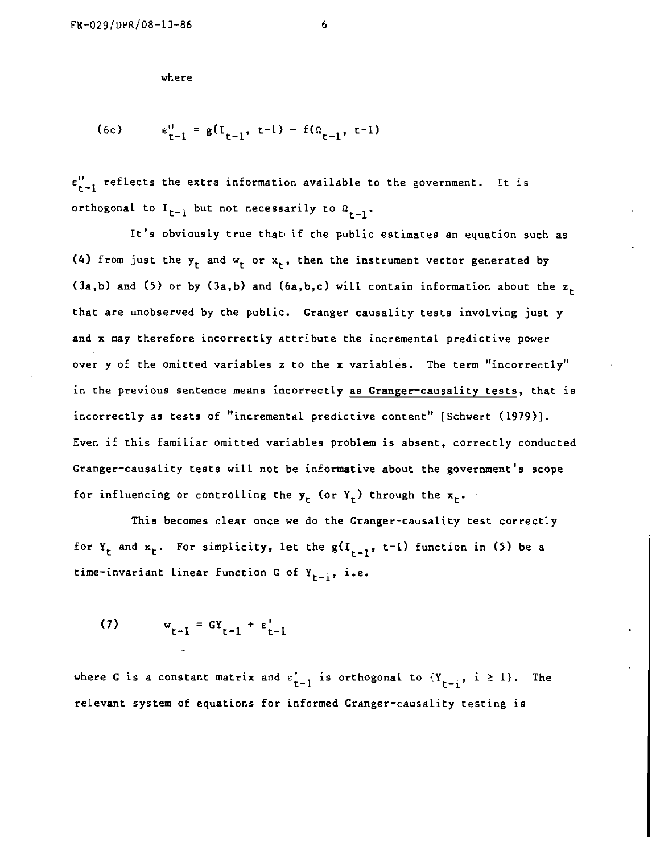where

(6c) 
$$
\epsilon_{t-1}^0 = g(I_{t-1}, t-1) - f(a_{t-1}, t-1)
$$

 $\varepsilon_{r-1}^{\prime\prime}$  reflects the extra information available to the government. It is orthogonal to  $I_{t-1}$  but not necessarily to  $\Omega_{t-1}$ .

It's obviously true that if the public estimates an equation such as (4) from just the  $y_t$  and  $w_t$  or  $x_t$ , then the instrument vector generated by (3a,b) and (5) or by (3a,b) and (6a,b,c) will contain information about the  $z_{\tau}$ that are unobserved by the public. Cranger causality tests involving just y and x may therefore incorrectly attribute the incremental predictive power over y of the omitted variables z to the x variables. The term "incorrectly" in the previous sentence means incorrectly as Granger-causality tests, that is incorrectly as tests of "incremental predictive content" [Schwert (1979)]. Even if this familiar omitted variables problem is absent, correctly conducted Cranger—causality tests wilt not be informative about the government's scope for influencing or controlling the  $y_t$  (or  $Y_t$ ) through the  $x_t$ .

This becomes clear once we do the Granger-causality test correctly for  $Y_r$  and  $x_r$ . For simplicity, let the  $g(I_{r-1}, t-1)$  function in (5) be a time-invariant linear function G of  $Y_{r-1}$ , i.e.

$$
\mathbf{u}_{t-1} = \mathbf{G} \mathbf{Y}_{t-1} + \epsilon_{t-1}^{\mathbf{I}}
$$

where G is a constant matrix and  $\varepsilon_{t-1}^{\prime}$  is orthogonal to  ${Y_{t-i}}$ ,  $i \ge 1$ . The relevant system of equations for informed Cranger—causality testing is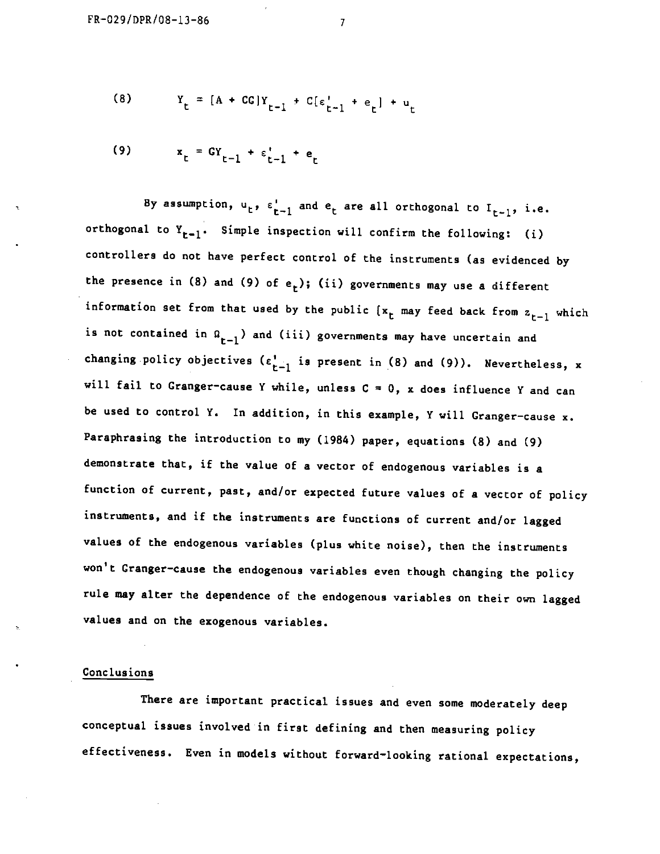(8) 
$$
Y_t = [A + CG]Y_{t-1} + C[\epsilon_{t-1}^{\dagger} + \epsilon_t] + u_t
$$

(9) 
$$
x_t = GY_{t-1} + \epsilon_{t-1}^* + e_t
$$

By assumption,  $u_t$ ,  $\varepsilon_{t-1}^t$  and  $e_t$  are all orthogonal to  $I_{t-1}$ , i.e. orthogonal to  $Y_{t-1}$ . Simple inspection will confirm the following: (i) controllers do not have perfect control of the instruments (as evidenced by the presence in (8) and (9) of  $e_t$ ); (ii) governments may use a different information set from that used by the public  $\{x_t\}$  may feed back from  $z_{t-1}$  which is not contained in  $\Omega_{t-1}$ ) and (iii) governments may have uncertain and changing policy objectives  $\{\epsilon_{t-1}^{\prime}$  is present in (8) and (9)). Nevertheless, x will fail to Granger-cause Y while, unless  $C = 0$ , x does influence Y and can be used to control Y. In addition, in this example, Y will Granger-cause x. Paraphrasing the introduction to my (1984) paper, equations (8) and (9) demonstrate that, if the value of a vector of endogenous variables is <sup>a</sup> function of current, past, and/or expected future values of a vector of policy instruments, and if the instruments are functions of current and/or lagged values of the endogenous variables (plus white noise), then the instruments won't Granger-cause the endogenous variables even though changing the policy rule may alter the dependence of the endogenous variables on their own lagged values and on the exogenous variables.

#### Conclusions

There are important practical issues and even some moderately deep conceptual issues involved in first defining and then measuring policy effectiveness. Even in models without forward—looking rational expectations,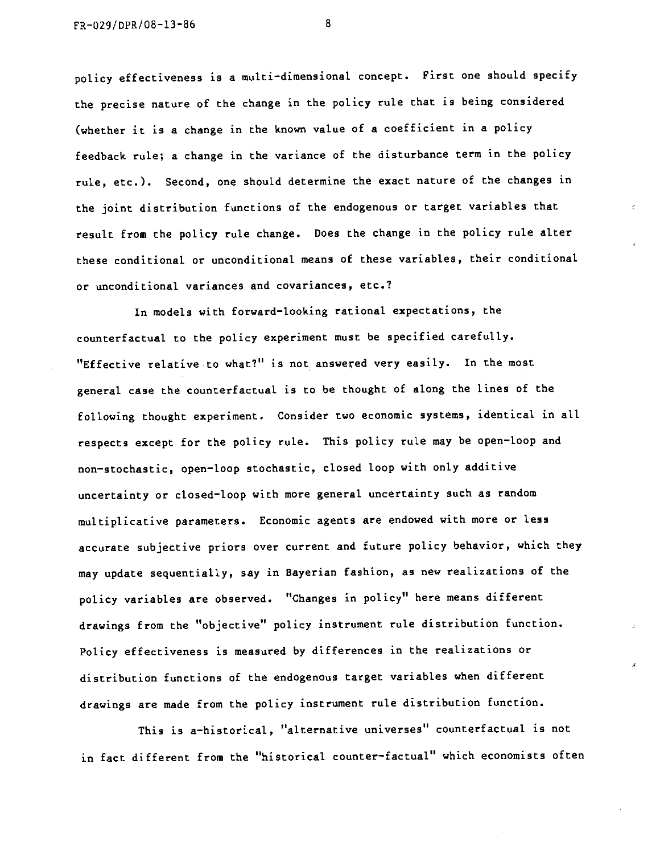policy effectiveness is a multi-dimensional concept. First one should specify the precise nature of the change in the policy rule that is being considered (whether it is a change in the known value of a coefficient in a policy feedback rule; a change in the variance of the disturbance term in the policy rule, etc.). Second, one should determine the exact nature of the changes in the joint distribution functions of the endogenous or target variables that result from the policy rule change. Does the change in the policy rule alter these conditional or unconditional means of these variables, their conditional. or unconditional variances and covariances, etc.?

In models with forward—looking rational expectations, the counterfactual to the policy experiment must be specified carefully. "Effective relative.to what?" is not answered very easily. In the most general case the counterfactual is to be thought of along the lines of the following thought experiment. Consider two economic systems, identical in all respects except for the policy rule. This policy rule may be open-loop and non—stochastic, open—loop stochastic, closed loop with only additive uncertainty or closed—loop with more general uncertainty such as random multiplicative parameters. Economic agents are endowed with more or less accurate subjective priors over current and future policy behavior, which they may update sequentially, say in Bayerian fashion, as new realizations of the policy variables are observed. "Changes in policy" here means different drawings from the "objective" policy instrument rule distribution function. Policy effectiveness is measured by differences in the realizations or distribution functions of the endogenous target variables when different drawings are made from the policy instrument rule distribution function.

This is a—historical, "alternative universes" counterfactual is not in fact different from the "historical counter—factual" which economists often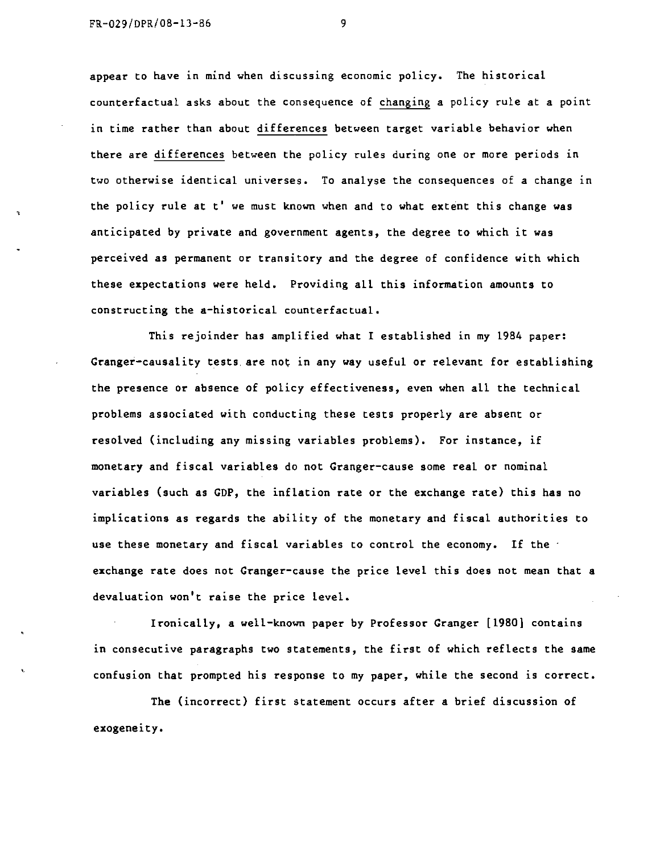appear to have in mind when discussing economic policy. The historical counterfactual asks about the consequence of changing a policy rule at a point in time rather than about differences between target variable behavior when there are differences between the poLicy ruLes during one or more periods in two otherwise identical universes. To analyse the consequences of a change in the policy rule at t' we must known when and to what extent this change was anticipated by private and government agents, the degree to which it was perceived as permanent or transitory and the degree of confidence with which these expectations were held. Providing all this information amounts to constructing the a-historical counterfactual.

This rejoinder has amplified what I established in my 1984 paper: Granger-causality tests are not in any way useful or relevant for establishing the presence or absence of policy effectiveness, even when all the technical problems associated with conducting these tests properly are absent or resolved (including any missing variables problems). For instance, if monetary and fiscal variables do not Granger—cause some real or nominal variables (such as CDP, the inflation rate or the exchange rate) this has no implications as regards the ability of the monetary and fiscal authorities to use these monetary and fiscal variables to control the economy. If the  $\cdot$ exchange rate does not Granger-cause the price level this does not mean that a devaluation won't raise the price level.

Ironically, a well-known paper by Professor Granger [1980] contains in consecutive paragraphs two statements, the first of which reflects the same confusion that prompted his response to my paper, while the second is correct.

The (incorrect) first statement occurs after a brief discussion of exogeneity.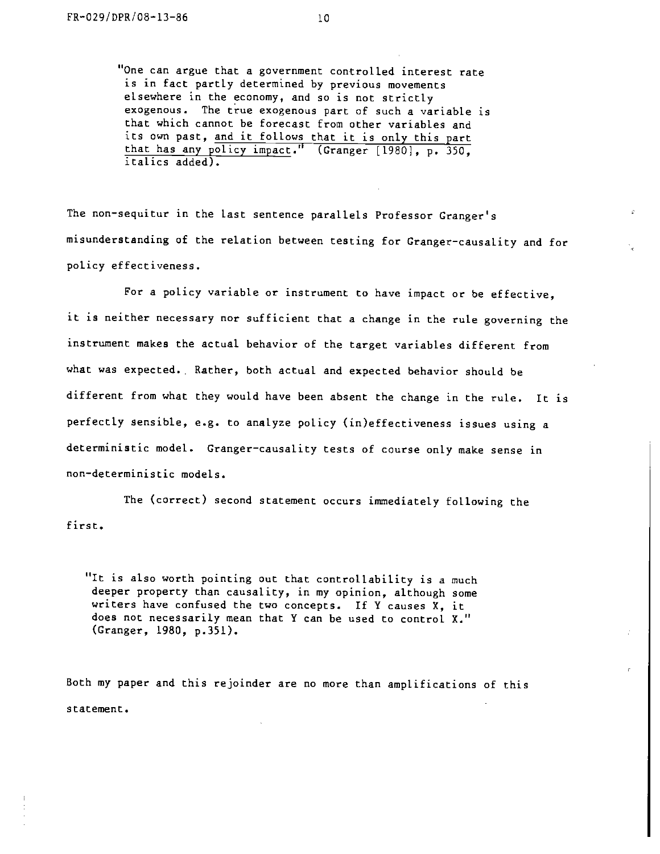"One can argue that a government controlled interest rate is in fact partLy determined by previous movements elsewhere in the economy, and so is not strictly exogenous. The true exogenous part of such a variable is that which cannot be forecast from other variables and its own past, and it follows that it is only this part that has any policy impact." (Cranger [1980], p. 350, italics added).

The non-sequitur in the last sentence parallels Professor Granger's misunderstanding of the relation between testing for Cranger—causality and for policy effectiveness.

For a policy variable or instrument to have impact or be effective, it is neither necessary nor sufficient that a change in the rule governing the instrument makes the actual behavior of the target variables different from what was expected. Rather, both actual and expected behavior should be different from what they would have been absent the change in the rule. It is perfectly sensible, e.g. to analyze policy (in)effectiveness issues using a deterministic model. Granger—causality tests of course only make sense in non—deterministic models.

The (correct) second statement occurs immediately following the first.

"It is also worth pointing out that controllability is a much deeper property than causality, in my opinion, although some writers have confused the two concepts. If Y causes X, it does not necessarily mean that Y can be used to control X." (Cranger, 1980, p.351).

Both my paper and this rejoinder are no more than amplifications of this statement.